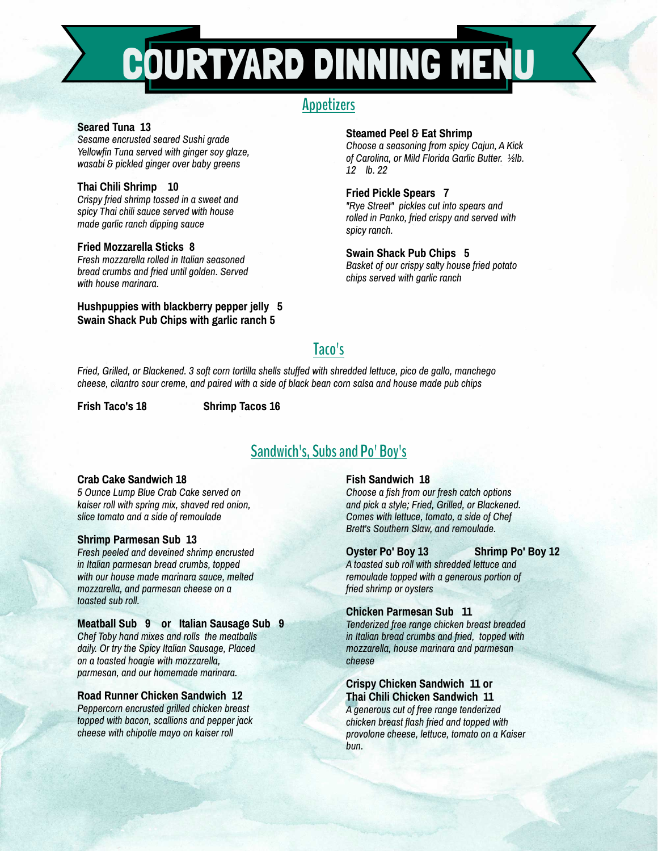# COURTYARD DINNING MENU

# **Appetizers**

# **Seared Tuna 13**

*Sesame encrusted seared Sushi grade Yellowfin Tuna served with ginger soy glaze, wasabi & pickled ginger over baby greens*

## **Thai Chili Shrimp 10**

*Crispy fried shrimp tossed in a sweet and spicy Thai chili sauce served with house made garlic ranch dipping sauce*

#### **Fried Mozzarella Sticks 8**

*Fresh mozzarella rolled in Italian seasoned bread crumbs and fried until golden. Served with house marinara.*

## **Hushpuppies with blackberry pepper jelly 5 Swain Shack Pub Chips with garlic ranch 5**

#### **Steamed Peel & Eat Shrimp**

*Choose a seasoning from spicy Cajun, A Kick of Carolina, or Mild Florida Garlic Butter. ½lb. 12 lb. 22*

#### **Fried Pickle Spears 7**

*"Rye Street" pickles cut into spears and rolled in Panko, fried crispy and served with spicy ranch.*

# **Swain Shack Pub Chips 5**

*Basket of our crispy salty house fried potato chips served with garlic ranch*

# **Taco's**

*Fried, Grilled, or Blackened. 3 soft corn tortilla shells stuffed with shredded lettuce, pico de gallo, manchego cheese, cilantro sour creme, and paired with a side of black bean corn salsa and house made pub chips*

**Frish Taco's 18 Shrimp Tacos 16**

# **Sandwich's, Subs and Po' Boy's**

## **Crab Cake Sandwich 18**

*5 Ounce Lump Blue Crab Cake served on kaiser roll with spring mix, shaved red onion, slice tomato and a side of remoulade*

#### **Shrimp Parmesan Sub 13**

*Fresh peeled and deveined shrimp encrusted in Italian parmesan bread crumbs, topped with our house made marinara sauce, melted mozzarella, and parmesan cheese on a toasted sub roll.*

#### **Meatball Sub 9 or Italian Sausage Sub 9**

*Chef Toby hand mixes and rolls the meatballs daily. Or try the Spicy Italian Sausage, Placed on a toasted hoagie with mozzarella, parmesan, and our homemade marinara.*

## **Road Runner Chicken Sandwich 12**

*Peppercorn encrusted grilled chicken breast topped with bacon, scallions and pepper jack cheese with chipotle mayo on kaiser roll*

## **Fish Sandwich 18**

*Choose a fish from our fresh catch options and pick a style; Fried, Grilled, or Blackened. Comes with lettuce, tomato, a side of Chef Brett's Southern Slaw, and remoulade.*

#### **Oyster Po' Boy 13 Shrimp Po' Boy 12**

*A toasted sub roll with shredded lettuce and remoulade topped with a generous portion of fried shrimp or oysters*

#### **Chicken Parmesan Sub 11**

*Tenderized free range chicken breast breaded in Italian bread crumbs and fried, topped with mozzarella, house marinara and parmesan cheese*

# **Crispy Chicken Sandwich 11 or Thai Chili Chicken Sandwich 11**

*A generous cut of free range tenderized chicken breast flash fried and topped with provolone cheese, lettuce, tomato on a Kaiser bun.*